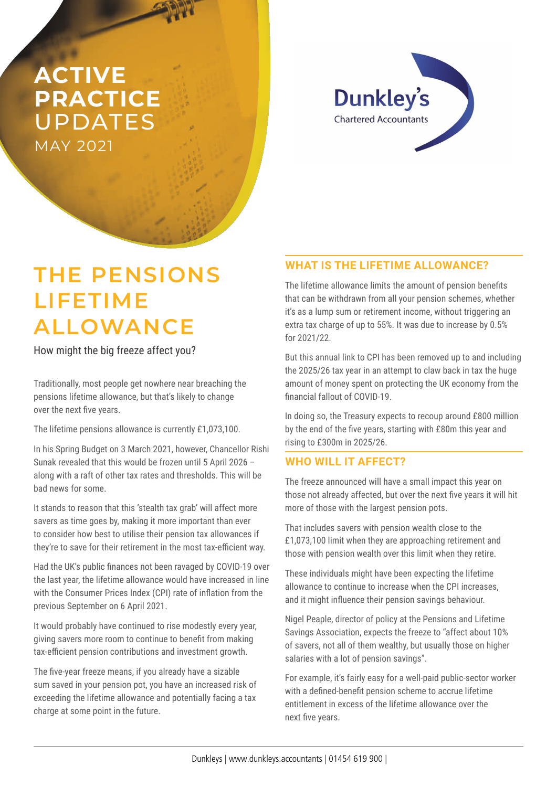## **ACTIVE PRACTICE**  UPDATES MAY 2021



# **THE PENSIONS LIFETIME ALLOWANCE**

How might the big freeze affect you?

Traditionally, most people get nowhere near breaching the pensions lifetime allowance, but that's likely to change over the next five years.

The lifetime pensions allowance is currently £1,073,100.

In his Spring Budget on 3 March 2021, however, Chancellor Rishi Sunak revealed that this would be frozen until 5 April 2026 – along with a raft of other tax rates and thresholds. This will be bad news for some.

It stands to reason that this 'stealth tax grab' will affect more savers as time goes by, making it more important than ever to consider how best to utilise their pension tax allowances if they're to save for their retirement in the most tax-efficient way.

Had the UK's public finances not been ravaged by COVID-19 over the last year, the lifetime allowance would have increased in line with the Consumer Prices Index (CPI) rate of inflation from the previous September on 6 April 2021.

It would probably have continued to rise modestly every year, giving savers more room to continue to benefit from making tax-efficient pension contributions and investment growth.

The five-year freeze means, if you already have a sizable sum saved in your pension pot, you have an increased risk of exceeding the lifetime allowance and potentially facing a tax charge at some point in the future.

### **WHAT IS THE LIFETIME ALLOWANCE?**

The lifetime allowance limits the amount of pension benefits that can be withdrawn from all your pension schemes, whether it's as a lump sum or retirement income, without triggering an extra tax charge of up to 55%. It was due to increase by 0.5% for 2021/22.

But this annual link to CPI has been removed up to and including the 2025/26 tax year in an attempt to claw back in tax the huge amount of money spent on protecting the UK economy from the financial fallout of COVID-19.

In doing so, the Treasury expects to recoup around £800 million by the end of the five years, starting with £80m this year and rising to £300m in 2025/26.

#### **WHO WILL IT AFFECT?**

The freeze announced will have a small impact this year on those not already affected, but over the next five years it will hit more of those with the largest pension pots.

That includes savers with pension wealth close to the £1,073,100 limit when they are approaching retirement and those with pension wealth over this limit when they retire.

These individuals might have been expecting the lifetime allowance to continue to increase when the CPI increases, and it might influence their pension savings behaviour.

Nigel Peaple, director of policy at the Pensions and Lifetime Savings Association, expects the freeze to "affect about 10% of savers, not all of them wealthy, but usually those on higher salaries with a lot of pension savings".

For example, it's fairly easy for a well-paid public-sector worker with a defined-benefit pension scheme to accrue lifetime entitlement in excess of the lifetime allowance over the next five years.